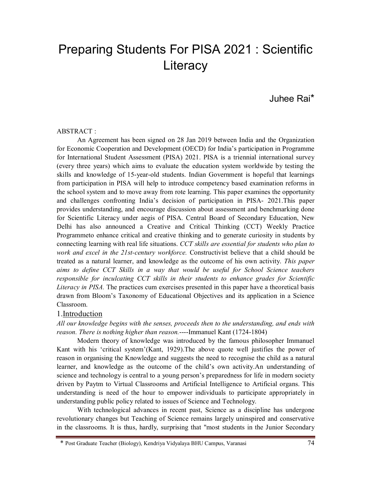# Preparing Students For PISA 2021 : Scientific **Literacy**

# Juhee Rai\*

#### ABSTRACT :

An Agreement has been signed on 28 Jan 2019 between India and the Organization for Economic Cooperation and Development (OECD) for India's participation in Programme for International Student Assessment (PISA) 2021. PISA is a triennial international survey (every three years) which aims to evaluate the education system worldwide by testing the skills and knowledge of 15-year-old students. Indian Government is hopeful that learnings from participation in PISA will help to introduce competency based examination reforms in the school system and to move away from rote learning. This paper examines the opportunity and challenges confronting India's decision of participation in PISA- 2021.This paper provides understanding, and encourage discussion about assessment and benchmarking done for Scientific Literacy under aegis of PISA. Central Board of Secondary Education, New Delhi has also announced a Creative and Critical Thinking (CCT) Weekly Practice Programmeto enhance critical and creative thinking and to generate curiosity in students by connecting learning with real life situations. *CCT skills are essential for students who plan to work and excel in the 21st-century workforce.* Constructivist believe that a child should be treated as a natural learner, and knowledge as the outcome of his own activity. *This paper aims to define CCT Skills in a way that would be useful for School Science teachers responsible for inculcating CCT skills in their students to enhance grades for Scientific Literacy in PISA.* The practices cum exercises presented in this paper have a theoretical basis drawn from Bloom's Taxonomy of Educational Objectives and its application in a Science Classroom.

#### 1.Introduction

*All our knowledge begins with the senses, proceeds then to the understanding, and ends with reason. There is nothing higher than reason.*----Immanuel Kant (1724-1804)

Modern theory of knowledge was introduced by the famous philosopher Immanuel Kant with his 'critical system'(Kant, 1929).The above quote well justifies the power of reason in organising the Knowledge and suggests the need to recognise the child as a natural learner, and knowledge as the outcome of the child's own activity.An understanding of science and technology is central to a young person's preparedness for life in modern society driven by Paytm to Virtual Classrooms and Artificial Intelligence to Artificial organs. This understanding is need of the hour to empower individuals to participate appropriately in understanding public policy related to issues of Science and Technology.

With technological advances in recent past, Science as a discipline has undergone revolutionary changes but Teaching of Science remains largely uninspired and conservative in the classrooms. It is thus, hardly, surprising that "most students in the Junior Secondary

\* Post Graduate Teacher (Biology), Kendriya Vidyalaya BHU Campus, Varanasi 74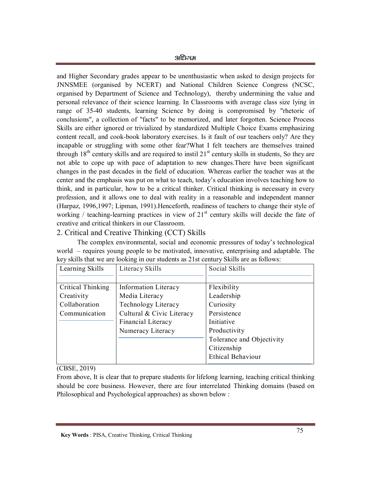#### अधिगम

and Higher Secondary grades appear to be unenthusiastic when asked to design projects for JNNSMEE (organised by NCERT) and National Children Science Congress (NCSC, organised by Department of Science and Technology), thereby undermining the value and personal relevance of their science learning. In Classrooms with average class size lying in range of 35-40 students, learning Science by doing is compromised by "rhetoric of conclusions", a collection of "facts" to be memorized, and later forgotten. Science Process Skills are either ignored or trivialized by standardized Multiple Choice Exams emphasizing content recall, and cook-book laboratory exercises. Is it fault of our teachers only? Are they incapable or struggling with some other fear?What I felt teachers are themselves trained through  $18<sup>th</sup>$  century skills and are required to instil  $21<sup>st</sup>$  century skills in students, So they are not able to cope up with pace of adaptation to new changes.There have been significant changes in the past decades in the field of education. Whereas earlier the teacher was at the center and the emphasis was put on what to teach, today's education involves teaching how to think, and in particular, how to be a critical thinker. Critical thinking is necessary in every profession, and it allows one to deal with reality in a reasonable and independent manner (Harpaz, 1996,1997; Lipman, 1991).Henceforth, readiness of teachers to change their style of working / teaching-learning practices in view of  $21<sup>st</sup>$  century skills will decide the fate of creative and critical thinkers in our Classroom.

## 2. Critical and Creative Thinking (CCT) Skills

The complex environmental, social and economic pressures of today's technological world – requires young people to be motivated, innovative, enterprising and adaptable. The key skills that we are looking in our students as 21st century Skills are as follows:

| Learning Skills   | Literacy Skills             | Social Skills             |
|-------------------|-----------------------------|---------------------------|
|                   |                             |                           |
| Critical Thinking | <b>Information Literacy</b> | Flexibility               |
| Creativity        | Media Literacy              | Leadership                |
| Collaboration     | <b>Technology Literacy</b>  | Curiosity                 |
| Communication     | Cultural & Civic Literacy   | Persistence               |
|                   | Financial Literacy          | Initiative                |
|                   | Numeracy Literacy           | Productivity              |
|                   |                             | Tolerance and Objectivity |
|                   |                             | Citizenship               |
|                   |                             | <b>Ethical Behaviour</b>  |
|                   |                             |                           |

(CBSE, 2019)

From above, It is clear that to prepare students for lifelong learning, teaching critical thinking should be core business. However, there are four interrelated Thinking domains (based on Philosophical and Psychological approaches) as shown below :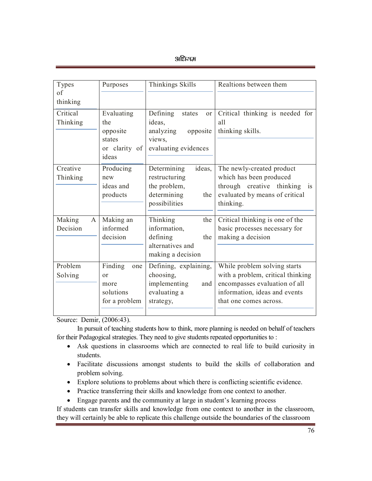#### आंधान

| Types       | Purposes       | Thinkings Skills         | Realtions between them                 |
|-------------|----------------|--------------------------|----------------------------------------|
| of          |                |                          |                                        |
| thinking    |                |                          |                                        |
| Critical    | Evaluating     | Defining<br>states<br>or | Critical thinking is needed for        |
| Thinking    | the            | ideas.                   | all                                    |
|             | opposite       | analyzing<br>opposite    | thinking skills.                       |
|             | states         | views,                   |                                        |
|             | or clarity of  | evaluating evidences     |                                        |
|             | ideas          |                          |                                        |
| Creative    | Producing      | Determining<br>ideas,    | The newly-created product              |
| Thinking    | new            | restructuring            | which has been produced                |
|             | ideas and      | the problem,             | through creative thinking<br><b>1S</b> |
|             | products       | determining<br>the       | evaluated by means of critical         |
|             |                | possibilities            | thinking.                              |
|             |                |                          |                                        |
| Making<br>A | Making an      | Thinking<br>the          | Critical thinking is one of the        |
| Decision    | informed       | information,             | basic processes necessary for          |
|             | decision       | defining<br>the          | making a decision                      |
|             |                | alternatives and         |                                        |
|             |                | making a decision        |                                        |
| Problem     | Finding<br>one | Defining, explaining,    | While problem solving starts           |
| Solving     | $\alpha$       | choosing,                | with a problem, critical thinking      |
|             | more           | implementing<br>and      | encompasses evaluation of all          |
|             | solutions      | evaluating a             | information, ideas and events          |
|             | for a problem  | strategy,                | that one comes across.                 |
|             |                |                          |                                        |

Source: Demir, (2006:43).

In pursuit of teaching students how to think, more planning is needed on behalf of teachers for their Pedagogical strategies. They need to give students repeated opportunities to :

- Ask questions in classrooms which are connected to real life to build curiosity in students.
- Facilitate discussions amongst students to build the skills of collaboration and problem solving.
- Explore solutions to problems about which there is conflicting scientific evidence.
- Practice transferring their skills and knowledge from one context to another.
- Engage parents and the community at large in student's learning process

If students can transfer skills and knowledge from one context to another in the classroom, they will certainly be able to replicate this challenge outside the boundaries of the classroom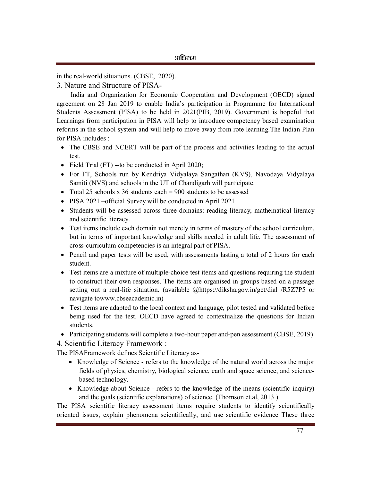in the real-world situations. (CBSE, 2020).

3. Nature and Structure of PISA-

India and Organization for Economic Cooperation and Development (OECD) signed agreement on 28 Jan 2019 to enable India's participation in Programme for International Students Assessment (PISA) to be held in 2021(PIB, 2019). Government is hopeful that Learnings from participation in PISA will help to introduce competency based examination reforms in the school system and will help to move away from rote learning.The Indian Plan for PISA includes :

- The CBSE and NCERT will be part of the process and activities leading to the actual test.
- Field Trial (FT) --to be conducted in April 2020;
- For FT, Schools run by Kendriya Vidyalaya Sangathan (KVS), Navodaya Vidyalaya Samiti (NVS) and schools in the UT of Chandigarh will participate.
- Total 25 schools x 36 students each  $= 900$  students to be assessed
- PISA 2021 official Survey will be conducted in April 2021.
- Students will be assessed across three domains: reading literacy, mathematical literacy and scientific literacy.
- Test items include each domain not merely in terms of mastery of the school curriculum, but in terms of important knowledge and skills needed in adult life. The assessment of cross-curriculum competencies is an integral part of PISA.
- Pencil and paper tests will be used, with assessments lasting a total of 2 hours for each student.
- Test items are a mixture of multiple-choice test items and questions requiring the student to construct their own responses. The items are organised in groups based on a passage setting out a real-life situation. (available @<https://diksha.gov.in/get/dial>/R5Z7P5 or navigate t[owww.cbseacademic.in\)](http://www.cbseacademic.in))
- Test items are adapted to the local context and language, pilot tested and validated before being used for the test. OECD have agreed to contextualize the questions for Indian students.
- Participating students will complete a <u>two-hour paper and-pen assessment.</u>(CBSE, 2019)

4. Scientific Literacy Framework :

The PISAFramework defines Scientific Literacy as-

- Knowledge of Science refers to the knowledge of the natural world across the major fields of physics, chemistry, biological science, earth and space science, and sciencebased technology.
- Knowledge about Science refers to the knowledge of the means (scientific inquiry) and the goals (scientific explanations) of science. (Thomson et.al, 2013 )

The PISA scientific literacy assessment items require students to identify scientifically oriented issues, explain phenomena scientifically, and use scientific evidence These three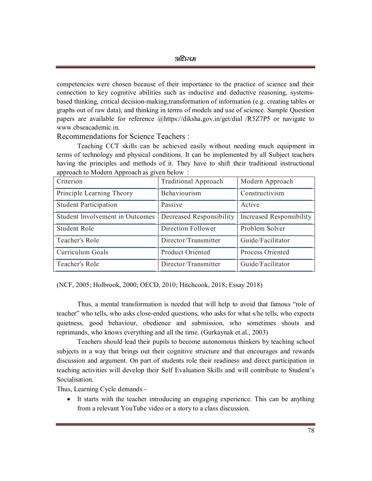competencies were chosen because of their importance to the practice of science and their connection to key cognitive abilities such as inductive and deductive reasoning, systemsbased thinking, critical decision-making,transformation of information (e.g. creating tables or graphs out of raw data), and thinking in terms of models and use of science. Sample Question papers are available for reference @<https://diksha.gov.in/get/dial>/R5Z7P5 or navigate to [www.cbseacademic.in.](http://www.cbseacademic.in.)

#### Recommendations for Science Teachers :

Teaching CCT skills can be achieved easily without needing much equipment in terms of technology and physical conditions. It can be implemented by all Subject teachers having the principles and methods of it. They have to shift their traditional instructional approach to Modern Approach as given below :

| Criterion                       | <b>Traditional Approach</b> | Modern Approach          |  |
|---------------------------------|-----------------------------|--------------------------|--|
| Principle Learning Theory       | Behaviourism                | Constructivism           |  |
| <b>Student Participation</b>    | Passive<br>Active           |                          |  |
| Student Involvement in Outcomes | Decreased Responsibility    | Increased Responsibility |  |
| <b>Student Role</b>             | Direction Follower          | Problem Solver           |  |
| Teacher's Role                  | Director/Transmitter        | Guide/Facilitator        |  |
| Curriculum Goals                | <b>Product Oriented</b>     | Process Oriented         |  |
| Teacher's Role                  | Director/Transmitter        | Guide/Facilitator        |  |

(NCF, 2005; Holbrook, 2000; OECD, 2010; Hitchcook, 2018; Essay 2018)

Thus, a mental transformation is needed that will help to avoid that famous "role of teacher" who tells, who asks close-ended questions, who asks for what s/he tells, who expects quietness, good behaviour, obedience and submission, who sometimes shouts and reprimands, who knows everything and all the time. (Gurkaynak et.al., 2003)

Teachers should lead their pupils to become autonomous thinkers by teaching school subjects in a way that brings out their cognitive structure and that encourages and rewards discussion and argument. On part of students role their readiness and direct participation in teaching activities will develop their Self Evaluation Skills and will contribute to Student's Socialisation.

Thus, Learning Cycle demands -

 It starts with the teacher introducing an engaging experience. This can be anything from a relevant YouTube video or a story to a class discussion.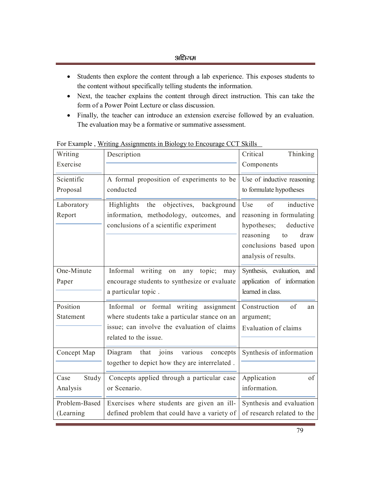### अधिगम

- Students then explore the content through a lab experience. This exposes students to the content without specifically telling students the information.
- Next, the teacher explains the content through direct instruction. This can take the form of a Power Point Lecture or class discussion.
- Finally, the teacher can introduce an extension exercise followed by an evaluation. The evaluation may be a formative or summative assessment.

| Writing       | Description                                       | Critical<br>Thinking       |  |
|---------------|---------------------------------------------------|----------------------------|--|
| Exercise      |                                                   | Components                 |  |
| Scientific    | A formal proposition of experiments to be         | Use of inductive reasoning |  |
| Proposal      | conducted                                         | to formulate hypotheses    |  |
| Laboratory    | objectives,<br>Highlights<br>the<br>background    | of<br>inductive<br>Use     |  |
| Report        | information, methodology, outcomes, and           | reasoning in formulating   |  |
|               | conclusions of a scientific experiment            | deductive<br>hypotheses;   |  |
|               |                                                   | reasoning<br>draw<br>to    |  |
|               |                                                   | conclusions based upon     |  |
|               |                                                   | analysis of results.       |  |
| One-Minute    | writing<br>Informal<br>topic;<br>any<br>on<br>may | Synthesis, evaluation, and |  |
| Paper         | encourage students to synthesize or evaluate      | application of information |  |
|               | a particular topic.                               | learned in class.          |  |
| Position      | Informal or formal writing assignment             | Construction<br>of<br>an   |  |
| Statement     | where students take a particular stance on an     | argument;                  |  |
|               | issue; can involve the evaluation of claims       | Evaluation of claims       |  |
|               | related to the issue.                             |                            |  |
| Concept Map   | that joins<br>various<br>Diagram<br>concepts      | Synthesis of information   |  |
|               | together to depict how they are interrelated.     |                            |  |
| Study<br>Case | Concepts applied through a particular case        | Application<br>of          |  |
| Analysis      | or Scenario.                                      | information.               |  |
| Problem-Based | Exercises where students are given an ill-        | Synthesis and evaluation   |  |
| (Learning     | defined problem that could have a variety of      | of research related to the |  |

For Example , Writing Assignments in Biology to Encourage CCT Skills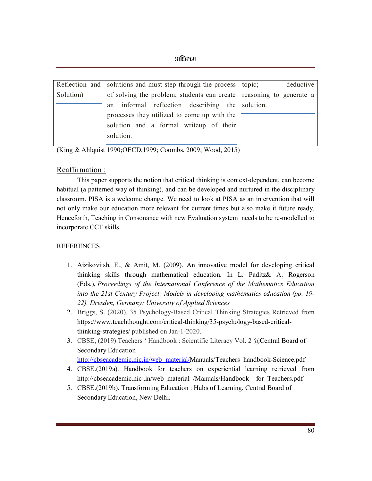आंधान

|           | Reflection and solutions and must step through the process   topic;   | deductive |
|-----------|-----------------------------------------------------------------------|-----------|
| Solution) | of solving the problem; students can create   reasoning to generate a |           |
|           | an informal reflection describing the solution.                       |           |
|           | processes they utilized to come up with the                           |           |
|           | solution and a formal writeup of their                                |           |
|           | solution.                                                             |           |
|           |                                                                       |           |

(King & Ahlquist 1990;OECD,1999; Coombs, 2009; Wood, 2015)

# Reaffirmation :

This paper supports the notion that critical thinking is context-dependent, can become habitual (a patterned way of thinking), and can be developed and nurtured in the disciplinary classroom. PISA is a welcome change. We need to look at PISA as an intervention that will not only make our education more relevant for current times but also make it future ready. Henceforth, Teaching in Consonance with new Evaluation system needs to be re-modelled to incorporate CCT skills.

# **REFERENCES**

- 1. Aizikovitsh, E., & Amit, M. (2009). An innovative model for developing critical thinking skills through mathematical education. In L. Paditz& A. Rogerson (Eds.), *Proceedings of the International Conference of the Mathematics Education into the 21st Century Project: Models in developing mathematics education (pp. 19- 22). Dresden, Germany: University of Applied Sciences*
- 2. Briggs, S. (2020). 35 Psychology-Based Critical Thinking Strategies Retrieved from [https://www.teachthought.com/critical-thinking/35-psychology-based-critical](https://www.teachthought.com/critical-thinking/35-psychology-based-critical-)thinking-strategies/ published on Jan-1-2020.
- 3. CBSE, (2019).Teachers ' Handbook : Scientific Literacy Vol. 2 @Central Board of Secondary Education

[http://cbseacademic.nic.in/web\\_material/Manuals/Teachers\\_handbook-Science.pdf](http://cbseacademic.nic.in/web_material/Manuals/Teachers_handbook-Science.pdf)

- 4. CBSE.(2019a). Handbook for teachers on experiential learning retrieved from <http://cbseacademic.nic> .in/web\_material /Manuals/Handbook\_ for Teachers.pdf
- 5. CBSE.(2019b). Transforming Education : Hubs of Learning. Central Board of Secondary Education, New Delhi.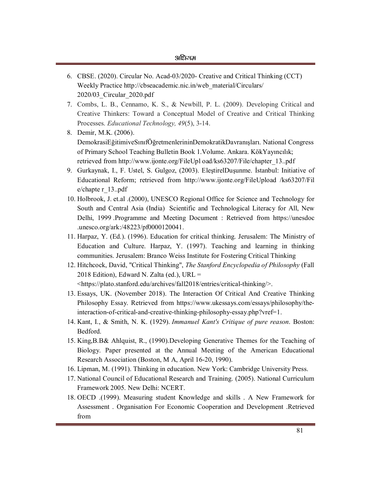- 6. CBSE. (2020). Circular No. Acad-03/2020- Creative and Critical Thinking (CCT) Weekly Practice [http://cbseacademic.nic.in/web\\_material/Circulars/](http://cbseacademic.nic.in/web_material/Circulars/)  2020/03\_Circular\_2020.pdf
- 7. Combs, L. B., Cennamo, K. S., & Newbill, P. L. (2009). Developing Critical and Creative Thinkers: Toward a Conceptual Model of Creative and Critical Thinking Processes. *Educational Technology, 49*(5), 3-14.
- 8. Demir, M.K. (2006). DemokrasiEğitimiveSınıfÖğretmenlerininDemokratikDavranışları. National Congress of Primary School Teaching Bulletin Book 1.Volume. Ankara. KökYayıncılık; retrieved from<http://www.ijonte.org/FileUpl> oad/ks63207/File/chapter\_13..pdf
- 9. Gurkaynak, I., F. Ustel, S. Gulgoz, (2003). EleştirelDuşunme. İstanbul: Initiative of Educational Reform; retrieved from <http://www.ijonte.org/FileUpload> /ks63207/Fil e/chapte r\_13..pdf
- 10. Holbrook, J. et.al .(2000), UNESCO Regional Office for Science and Technology for South and Central Asia (India) Scientific and Technological Literacy for All, New Delhi, 1999 .Programme and Meeting Document : Retrieved from <https://unesdoc> .unesco.org/ark:/48223/pf0000120041.
- 11. Harpaz, Y. (Ed.). (1996). Education for critical thinking. Jerusalem: The Ministry of Education and Culture. Harpaz, Y. (1997). Teaching and learning in thinking communities. Jerusalem: Branco Weiss Institute for Fostering Critical Thinking
- 12. Hitchcock, David, "Critical Thinking", *The Stanford Encyclopedia of Philosophy* (Fall 2018 Edition), Edward N. Zalta (ed.), URL = <[https://plato.stanford.edu/archives/fall2018/entries/critical-thinking/>](https://plato.stanford.edu/archives/fall2018/entries/critical-thinking/).
- 13. Essays, UK. (November 2018). The Interaction Of Critical And Creative Thinking Philosophy Essay. Retrieved from [https://www.ukessays.com/essays/philosophy/the](https://www.ukessays.com/essays/philosophy/the-)interaction-of-critical-and-creative-thinking-philosophy-essay.php?vref=1.
- 14. Kant, I., & Smith, N. K. (1929). *Immanuel Kant's Critique of pure reason*. Boston: Bedford.
- 15. King,B.B& Ahlquist, R., (1990).Developing Generative Themes for the Teaching of Biology. Paper presented at the Annual Meeting of the American Educational Research Association (Boston, M A, April 16-20, 1990).
- 16. Lipman, M. (1991). Thinking in education. New York: Cambridge University Press.
- 17. National Council of Educational Research and Training. (2005). National Curriculum Framework 2005. New Delhi: NCERT.
- 18. OECD .(1999). Measuring student Knowledge and skills . A New Framework for Assessment . Organisation For Economic Cooperation and Development .Retrieved from